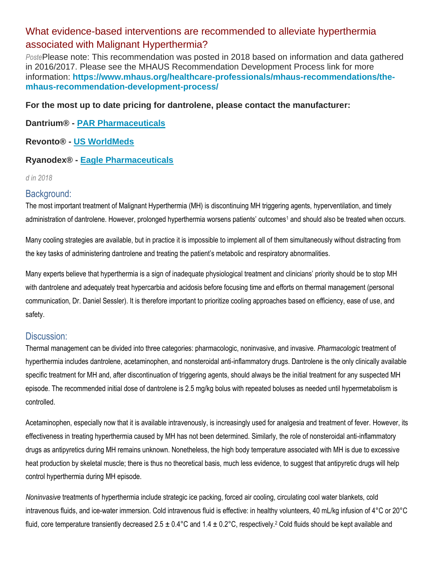# What evidence-based interventions are recommended to alleviate hyperthermia associated with Malignant Hyperthermia?

*Poste*Please note: This recommendation was posted in 2018 based on information and data gathered in 2016/2017. Please see the MHAUS Recommendation Development Process link for more information: **[https://www.mhaus.org/healthcare-professionals/mhaus-recommendations/the](https://www.mhaus.org/healthcare-professionals/mhaus-recommendations/the-mhaus-recommendation-development-process/)[mhaus-recommendation-development-process/](https://www.mhaus.org/healthcare-professionals/mhaus-recommendations/the-mhaus-recommendation-development-process/)**

### **For the most up to date pricing for dantrolene, please contact the manufacturer:**

### **Dantrium® - [PAR Pharmaceuticals](https://www.parpharm.com/)**

### **Revonto® - [US WorldMeds](https://usworldmeds.com/)**

### **Ryanodex® - [Eagle Pharmaceuticals](https://www.eagleus.com/)**

#### *d in 2018*

### Background:

The most important treatment of Malignant Hyperthermia (MH) is discontinuing MH triggering agents, hyperventilation, and timely administration of dantrolene. However, prolonged hyperthermia worsens patients' outcomes<sup>1</sup> and should also be treated when occurs.

Many cooling strategies are available, but in practice it is impossible to implement all of them simultaneously without distracting from the key tasks of administering dantrolene and treating the patient's metabolic and respiratory abnormalities.

Many experts believe that hyperthermia is a sign of inadequate physiological treatment and clinicians' priority should be to stop MH with dantrolene and adequately treat hypercarbia and acidosis before focusing time and efforts on thermal management (personal communication, Dr. Daniel Sessler). It is therefore important to prioritize cooling approaches based on efficiency, ease of use, and safety.

### Discussion:

Thermal management can be divided into three categories: pharmacologic, noninvasive, and invasive. *Pharmacologic* treatment of hyperthermia includes dantrolene, acetaminophen, and nonsteroidal anti-inflammatory drugs. Dantrolene is the only clinically available specific treatment for MH and, after discontinuation of triggering agents, should always be the initial treatment for any suspected MH episode. The recommended initial dose of dantrolene is 2.5 mg/kg bolus with repeated boluses as needed until hypermetabolism is controlled.

Acetaminophen, especially now that it is available intravenously, is increasingly used for analgesia and treatment of fever. However, its effectiveness in treating hyperthermia caused by MH has not been determined. Similarly, the role of nonsteroidal anti-inflammatory drugs as antipyretics during MH remains unknown. Nonetheless, the high body temperature associated with MH is due to excessive heat production by skeletal muscle; there is thus no theoretical basis, much less evidence, to suggest that antipyretic drugs will help control hyperthermia during MH episode.

*Noninvasive* treatments of hyperthermia include strategic ice packing, forced air cooling, circulating cool water blankets, cold intravenous fluids, and ice-water immersion. Cold intravenous fluid is effective: in healthy volunteers, 40 mL/kg infusion of 4°C or 20°C fluid, core temperature transiently decreased  $2.5 \pm 0.4^{\circ}$ C and  $1.4 \pm 0.2^{\circ}$ C, respectively.<sup>2</sup> Cold fluids should be kept available and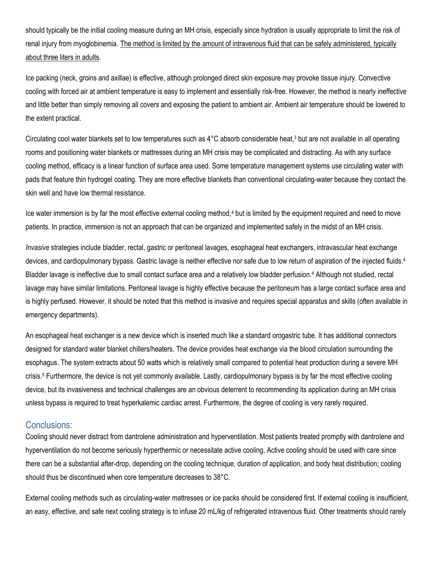should typically be the initial cooling measure during an MH crisis, especially since hydration is usually appropriate to limit the risk of renal injury from myoglobinemia. The method is limited by the amount of intravenous fluid that can be safely administered, typically about three liters in adults.

Ice packing (neck, groins and axillae) is effective, although prolonged direct skin exposure may provoke tissue injury. Convective cooling with forced air at ambient temperature is easy to implement and essentially risk-free. However, the method is nearly ineffective and little better than simply removing all covers and exposing the patient to ambient air. Ambient air temperature should be lowered to the extent practical.

Circulating cool water blankets set to low temperatures such as  $4^{\circ}$ C absorb considerable heat,<sup>3</sup> but are not available in all operating rooms and positioning water blankets or mattresses during an MH crisis may be complicated and distracting. As with any surface cooling method, efficacy is a linear function of surface area used. Some temperature management systems use circulating water with pads that feature thin hydrogel coating. They are more effective blankets than conventional circulating-water because they contact the skin well and have low thermal resistance.

Ice water immersion is by far the most effective external cooling method,<sup>4</sup> but is limited by the equipment required and need to move patients. In practice, immersion is not an approach that can be organized and implemented safely in the midst of an MH crisis.

*Invasive* strategies include bladder, rectal, gastric or peritoneal lavages, esophageal heat exchangers, intravascular heat exchange devices, and cardiopulmonary bypass. Gastric lavage is neither effective nor safe due to low return of aspiration of the injected fluids.<sup>4</sup> Bladder lavage is ineffective due to small contact surface area and a relatively low bladder perfusion.<sup>4</sup> Although not studied, rectal lavage may have similar limitations. Peritoneal lavage is highly effective because the peritoneum has a large contact surface area and is highly perfused. However, it should be noted that this method is invasive and requires special apparatus and skills (often available in emergency departments).

An esophageal heat exchanger is a new device which is inserted much like a standard orogastric tube. It has additional connectors designed for standard water blanket chillers/heaters. The device provides heat exchange via the blood circulation surrounding the esophagus. The system extracts about 50 watts which is relatively small compared to potential heat production during a severe MH crisis.<sup>5</sup> Furthermore, the device is not yet commonly available. Lastly, cardiopulmonary bypass is by far the most effective cooling device, but its invasiveness and technical challenges are an obvious deterrent to recommending its application during an MH crisis unless bypass is required to treat hyperkalemic cardiac arrest. Furthermore, the degree of cooling is very rarely required.

### Conclusions:

Cooling should never distract from dantrolene administration and hyperventilation. Most patients treated promptly with dantrolene and hyperventilation do not become seriously hyperthermic or necessitate active cooling. Active cooling should be used with care since there can be a substantial after-drop, depending on the cooling technique, duration of application, and body heat distribution; cooling should thus be discontinued when core temperature decreases to 38°C.

External cooling methods such as circulating-water mattresses or ice packs should be considered first. If external cooling is insufficient, an easy, effective, and safe next cooling strategy is to infuse 20 mL/kg of refrigerated intravenous fluid. Other treatments should rarely